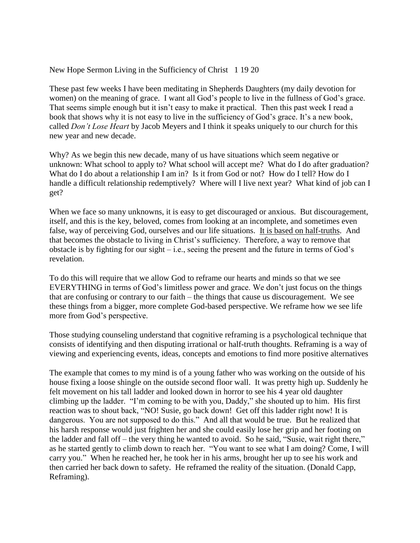New Hope Sermon Living in the Sufficiency of Christ 1 19 20

These past few weeks I have been meditating in Shepherds Daughters (my daily devotion for women) on the meaning of grace. I want all God's people to live in the fullness of God's grace. That seems simple enough but it isn't easy to make it practical. Then this past week I read a book that shows why it is not easy to live in the sufficiency of God's grace. It's a new book, called *Don't Lose Heart* by Jacob Meyers and I think it speaks uniquely to our church for this new year and new decade.

Why? As we begin this new decade, many of us have situations which seem negative or unknown: What school to apply to? What school will accept me? What do I do after graduation? What do I do about a relationship I am in? Is it from God or not? How do I tell? How do I handle a difficult relationship redemptively? Where will I live next year? What kind of job can I get?

When we face so many unknowns, it is easy to get discouraged or anxious. But discouragement, itself, and this is the key, beloved, comes from looking at an incomplete, and sometimes even false, way of perceiving God, ourselves and our life situations. It is based on half-truths. And that becomes the obstacle to living in Christ's sufficiency. Therefore, a way to remove that obstacle is by fighting for our sight  $-$  i.e., seeing the present and the future in terms of God's revelation.

To do this will require that we allow God to reframe our hearts and minds so that we see EVERYTHING in terms of God's limitless power and grace. We don't just focus on the things that are confusing or contrary to our faith – the things that cause us discouragement. We see these things from a bigger, more complete God-based perspective. We reframe how we see life more from God's perspective.

Those studying counseling understand that cognitive reframing is a psychological technique that consists of identifying and then disputing irrational or half-truth thoughts. Reframing is a way of viewing and experiencing events, ideas, concepts and emotions to find more positive alternatives

The example that comes to my mind is of a young father who was working on the outside of his house fixing a loose shingle on the outside second floor wall. It was pretty high up. Suddenly he felt movement on his tall ladder and looked down in horror to see his 4 year old daughter climbing up the ladder. "I'm coming to be with you, Daddy," she shouted up to him. His first reaction was to shout back, "NO! Susie, go back down! Get off this ladder right now! It is dangerous. You are not supposed to do this." And all that would be true. But he realized that his harsh response would just frighten her and she could easily lose her grip and her footing on the ladder and fall off – the very thing he wanted to avoid. So he said, "Susie, wait right there," as he started gently to climb down to reach her. "You want to see what I am doing? Come, I will carry you." When he reached her, he took her in his arms, brought her up to see his work and then carried her back down to safety. He reframed the reality of the situation. (Donald Capp, Reframing).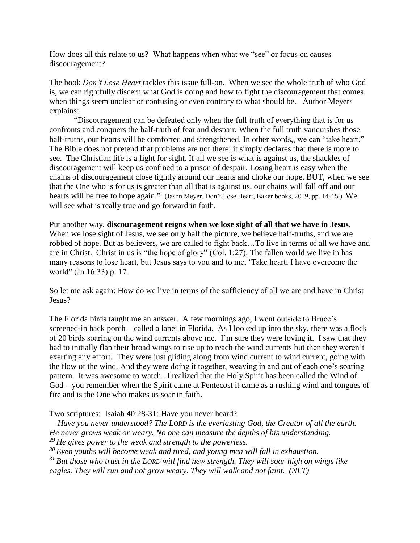How does all this relate to us? What happens when what we "see" or focus on causes discouragement?

The book *Don't Lose Heart* tackles this issue full-on. When we see the whole truth of who God is, we can rightfully discern what God is doing and how to fight the discouragement that comes when things seem unclear or confusing or even contrary to what should be. Author Meyers explains:

"Discouragement can be defeated only when the full truth of everything that is for us confronts and conquers the half-truth of fear and despair. When the full truth vanquishes those half-truths, our hearts will be comforted and strengthened. In other words,, we can "take heart." The Bible does not pretend that problems are not there; it simply declares that there is more to see. The Christian life is a fight for sight. If all we see is what is against us, the shackles of discouragement will keep us confined to a prison of despair. Losing heart is easy when the chains of discouragement close tightly around our hearts and choke our hope. BUT, when we see that the One who is for us is greater than all that is against us, our chains will fall off and our hearts will be free to hope again." (Jason Meyer, Don't Lose Heart, Baker books, 2019, pp. 14-15.) We will see what is really true and go forward in faith.

Put another way, **discouragement reigns when we lose sight of all that we have in Jesus**. When we lose sight of Jesus, we see only half the picture, we believe half-truths, and we are robbed of hope. But as believers, we are called to fight back…To live in terms of all we have and are in Christ. Christ in us is "the hope of glory" (Col. 1:27). The fallen world we live in has many reasons to lose heart, but Jesus says to you and to me, 'Take heart; I have overcome the world" (Jn.16:33).p. 17.

So let me ask again: How do we live in terms of the sufficiency of all we are and have in Christ Jesus?

The Florida birds taught me an answer. A few mornings ago, I went outside to Bruce's screened-in back porch – called a lanei in Florida. As I looked up into the sky, there was a flock of 20 birds soaring on the wind currents above me. I'm sure they were loving it. I saw that they had to initially flap their broad wings to rise up to reach the wind currents but then they weren't exerting any effort. They were just gliding along from wind current to wind current, going with the flow of the wind. And they were doing it together, weaving in and out of each one's soaring pattern. It was awesome to watch. I realized that the Holy Spirit has been called the Wind of God – you remember when the Spirit came at Pentecost it came as a rushing wind and tongues of fire and is the One who makes us soar in faith.

Two scriptures: Isaiah 40:28-31: Have you never heard?

 *Have you never understood? The LORD is the everlasting God, the Creator of all the earth. He never grows weak or weary. No one can measure the depths of his understanding. <sup>29</sup> He gives power to the weak and strength to the powerless.*

*<sup>30</sup> Even youths will become weak and tired, and young men will fall in exhaustion.*

*<sup>31</sup> But those who trust in the LORD will find new strength. They will soar high on wings like eagles. They will run and not grow weary. They will walk and not faint. (NLT)*